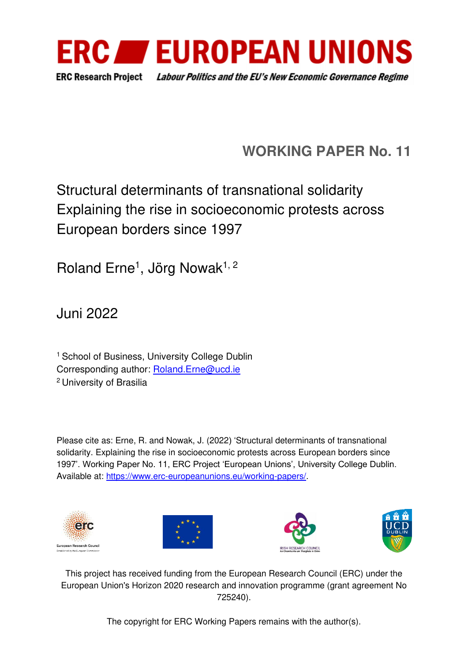

# **WORKING PAPER No. 11**

# Structural determinants of transnational solidarity Explaining the rise in socioeconomic protests across European borders since 1997

Roland Erne<sup>1</sup>, Jörg Nowak<sup>1, 2</sup>

Juni 2022

<sup>1</sup> School of Business, University College Dublin Corresponding author: [Roland.Erne@ucd.ie](mailto:Roland.Erne@ucd.ie)  <sup>2</sup>University of Brasilia

Please cite as: Erne, R. and Nowak, J. (2022) 'Structural determinants of transnational solidarity. Explaining the rise in socioeconomic protests across European borders since 1997'. Working Paper No. 11, ERC Project 'European Unions', University College Dublin. Available at: [https://www.erc-europeanunions.eu/working-papers/.](https://www.erc-europeanunions.eu/working-papers/)









This project has received funding from the European Research Council (ERC) under the European Union's Horizon 2020 research and innovation programme (grant agreement No 725240).

The copyright for ERC Working Papers remains with the author(s).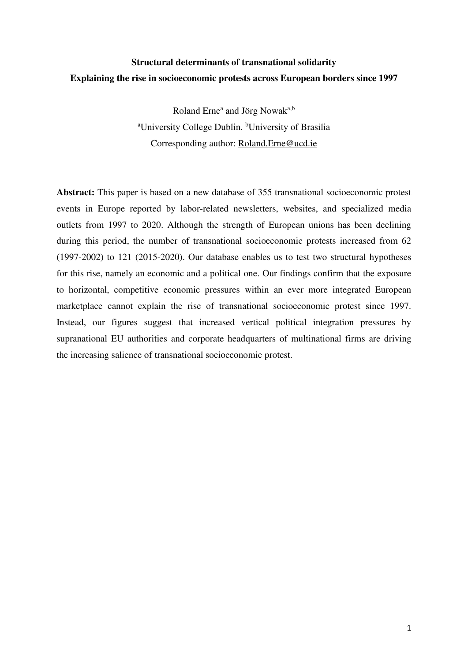## **Structural determinants of transnational solidarity Explaining the rise in socioeconomic protests across European borders since 1997**

Roland Erne<sup>a</sup> and Jörg Nowak<sup>a,b</sup> <sup>a</sup>University College Dublin. <sup>b</sup>University of Brasilia Corresponding author: [Roland.Erne@ucd.ie](mailto:Roland.Erne@ucd.ie) 

**Abstract:** This paper is based on a new database of 355 transnational socioeconomic protest events in Europe reported by labor-related newsletters, websites, and specialized media outlets from 1997 to 2020. Although the strength of European unions has been declining during this period, the number of transnational socioeconomic protests increased from 62 (1997-2002) to 121 (2015-2020). Our database enables us to test two structural hypotheses for this rise, namely an economic and a political one. Our findings confirm that the exposure to horizontal, competitive economic pressures within an ever more integrated European marketplace cannot explain the rise of transnational socioeconomic protest since 1997. Instead, our figures suggest that increased vertical political integration pressures by supranational EU authorities and corporate headquarters of multinational firms are driving the increasing salience of transnational socioeconomic protest.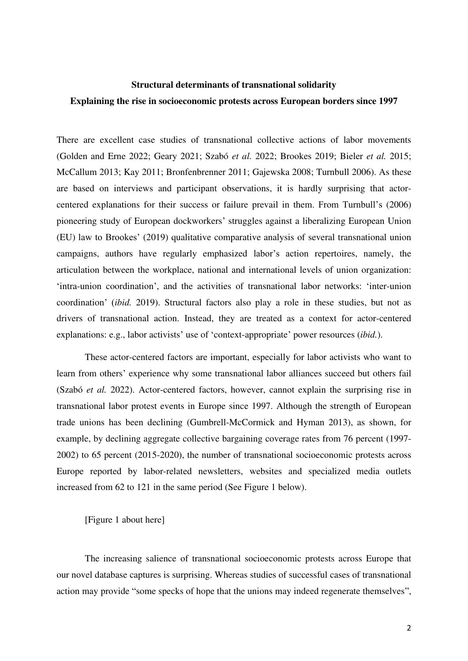## **Structural determinants of transnational solidarity Explaining the rise in socioeconomic protests across European borders since 1997**

There are excellent case studies of transnational collective actions of labor movements (Golden and Erne 2022; Geary 2021; Szabó *et al.* 2022; Brookes 2019; Bieler *et al.* 2015; McCallum 2013; Kay 2011; Bronfenbrenner 2011; Gajewska 2008; Turnbull 2006). As these are based on interviews and participant observations, it is hardly surprising that actorcentered explanations for their success or failure prevail in them. From Turnbull's (2006) pioneering study of European dockworkers' struggles against a liberalizing European Union (EU) law to Brookes' (2019) qualitative comparative analysis of several transnational union campaigns, authors have regularly emphasized labor's action repertoires, namely, the articulation between the workplace, national and international levels of union organization: 'intra-union coordination', and the activities of transnational labor networks: 'inter-union coordination' (*ibid.* 2019). Structural factors also play a role in these studies, but not as drivers of transnational action. Instead, they are treated as a context for actor-centered explanations: e.g., labor activists' use of 'context-appropriate' power resources (*ibid.*).

These actor-centered factors are important, especially for labor activists who want to learn from others' experience why some transnational labor alliances succeed but others fail (Szabó *et al.* 2022). Actor-centered factors, however, cannot explain the surprising rise in transnational labor protest events in Europe since 1997. Although the strength of European trade unions has been declining (Gumbrell-McCormick and Hyman 2013), as shown, for example, by declining aggregate collective bargaining coverage rates from 76 percent (1997- 2002) to 65 percent (2015-2020), the number of transnational socioeconomic protests across Europe reported by labor-related newsletters, websites and specialized media outlets increased from 62 to 121 in the same period (See Figure 1 below).

[Figure 1 about here]

The increasing salience of transnational socioeconomic protests across Europe that our novel database captures is surprising. Whereas studies of successful cases of transnational action may provide "some specks of hope that the unions may indeed regenerate themselves",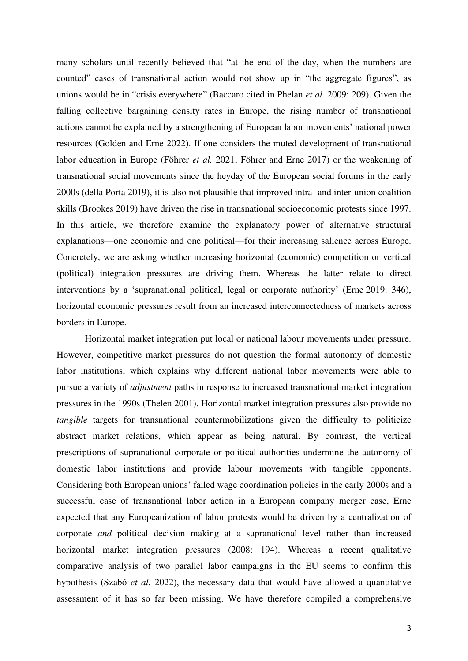many scholars until recently believed that "at the end of the day, when the numbers are counted" cases of transnational action would not show up in "the aggregate figures", as unions would be in "crisis everywhere" (Baccaro cited in Phelan *et al.* 2009: 209). Given the falling collective bargaining density rates in Europe, the rising number of transnational actions cannot be explained by a strengthening of European labor movements' national power resources (Golden and Erne 2022). If one considers the muted development of transnational labor education in Europe (Föhrer *et al.* 2021; Föhrer and Erne 2017) or the weakening of transnational social movements since the heyday of the European social forums in the early 2000s (della Porta 2019), it is also not plausible that improved intra- and inter-union coalition skills (Brookes 2019) have driven the rise in transnational socioeconomic protests since 1997. In this article, we therefore examine the explanatory power of alternative structural explanations—one economic and one political—for their increasing salience across Europe. Concretely, we are asking whether increasing horizontal (economic) competition or vertical (political) integration pressures are driving them. Whereas the latter relate to direct interventions by a 'supranational political, legal or corporate authority' (Erne [2019:](https://onlinelibrary.wiley.com/doi/10.1111/jcms.13279#jcms13279-bib-0022) 346), horizontal economic pressures result from an increased interconnectedness of markets across borders in Europe.

Horizontal market integration put local or national labour movements under pressure. However, competitive market pressures do not question the formal autonomy of domestic labor institutions, which explains why different national labor movements were able to pursue a variety of *adjustment* paths in response to increased transnational market integration pressures in the 1990s (Thelen 2001). Horizontal market integration pressures also provide no *tangible* targets for transnational countermobilizations given the difficulty to politicize abstract market relations, which appear as being natural. By contrast, the vertical prescriptions of supranational corporate or political authorities undermine the autonomy of domestic labor institutions and provide labour movements with tangible opponents. Considering both European unions' failed wage coordination policies in the early 2000s and a successful case of transnational labor action in a European company merger case, Erne expected that any Europeanization of labor protests would be driven by a centralization of corporate *and* political decision making at a supranational level rather than increased horizontal market integration pressures (2008: 194). Whereas a recent qualitative comparative analysis of two parallel labor campaigns in the EU seems to confirm this hypothesis (Szabó *et al.* 2022), the necessary data that would have allowed a quantitative assessment of it has so far been missing. We have therefore compiled a comprehensive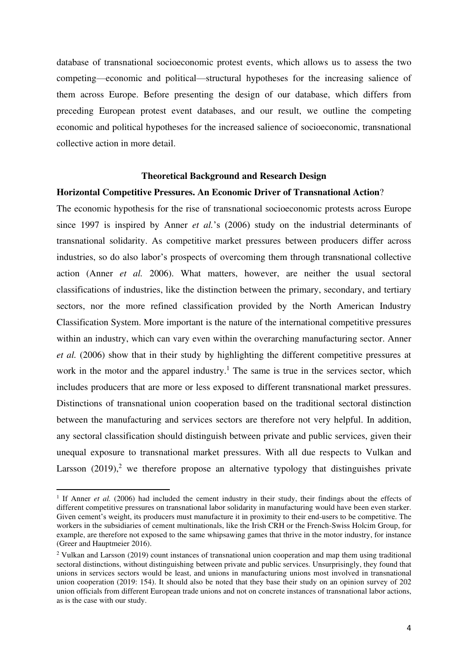database of transnational socioeconomic protest events, which allows us to assess the two competing—economic and political—structural hypotheses for the increasing salience of them across Europe. Before presenting the design of our database, which differs from preceding European protest event databases, and our result, we outline the competing economic and political hypotheses for the increased salience of socioeconomic, transnational collective action in more detail.

#### **Theoretical Background and Research Design**

#### **Horizontal Competitive Pressures. An Economic Driver of Transnational Action**?

The economic hypothesis for the rise of transnational socioeconomic protests across Europe since 1997 is inspired by Anner *et al.*'s (2006) study on the industrial determinants of transnational solidarity. As competitive market pressures between producers differ across industries, so do also labor's prospects of overcoming them through transnational collective action (Anner *et al.* 2006). What matters, however, are neither the usual sectoral classifications of industries, like the distinction between the primary, secondary, and tertiary sectors, nor the more refined classification provided by the North American Industry Classification System. More important is the nature of the international competitive pressures within an industry, which can vary even within the overarching manufacturing sector. Anner *et al.* (2006) show that in their study by highlighting the different competitive pressures at work in the motor and the apparel industry.<sup>1</sup> The same is true in the services sector, which includes producers that are more or less exposed to different transnational market pressures. Distinctions of transnational union cooperation based on the traditional sectoral distinction between the manufacturing and services sectors are therefore not very helpful. In addition, any sectoral classification should distinguish between private and public services, given their unequal exposure to transnational market pressures. With all due respects to Vulkan and Larsson  $(2019)$ ,<sup>2</sup> we therefore propose an alternative typology that distinguishes private

<sup>&</sup>lt;sup>1</sup> If Anner *et al.* (2006) had included the cement industry in their study, their findings about the effects of different competitive pressures on transnational labor solidarity in manufacturing would have been even starker. Given cement's weight, its producers must manufacture it in proximity to their end-users to be competitive. The workers in the subsidiaries of cement multinationals, like the Irish CRH or the French-Swiss Holcim Group, for example, are therefore not exposed to the same whipsawing games that thrive in the motor industry, for instance (Greer and Hauptmeier 2016).

<sup>&</sup>lt;sup>2</sup> Vulkan and Larsson (2019) count instances of transnational union cooperation and map them using traditional sectoral distinctions, without distinguishing between private and public services. Unsurprisingly, they found that unions in services sectors would be least, and unions in manufacturing unions most involved in transnational union cooperation (2019: 154). It should also be noted that they base their study on an opinion survey of 202 union officials from different European trade unions and not on concrete instances of transnational labor actions, as is the case with our study.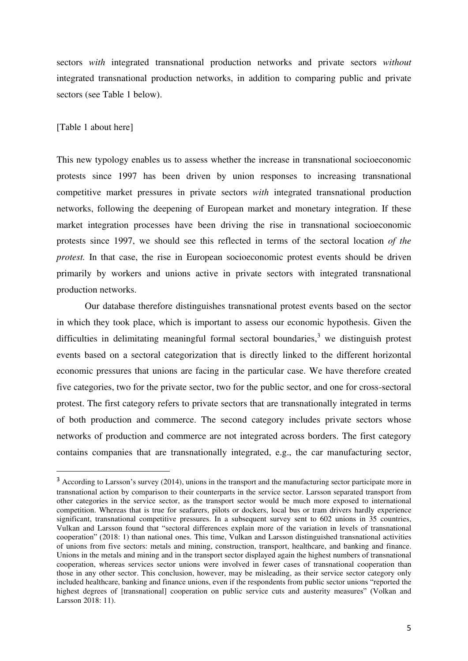sectors *with* integrated transnational production networks and private sectors *without*  integrated transnational production networks, in addition to comparing public and private sectors (see Table 1 below).

#### [Table 1 about here]

This new typology enables us to assess whether the increase in transnational socioeconomic protests since 1997 has been driven by union responses to increasing transnational competitive market pressures in private sectors *with* integrated transnational production networks, following the deepening of European market and monetary integration. If these market integration processes have been driving the rise in transnational socioeconomic protests since 1997, we should see this reflected in terms of the sectoral location *of the protest*. In that case, the rise in European socioeconomic protest events should be driven primarily by workers and unions active in private sectors with integrated transnational production networks.

Our database therefore distinguishes transnational protest events based on the sector in which they took place, which is important to assess our economic hypothesis. Given the difficulties in delimitating meaningful formal sectoral boundaries, $3$  we distinguish protest events based on a sectoral categorization that is directly linked to the different horizontal economic pressures that unions are facing in the particular case. We have therefore created five categories, two for the private sector, two for the public sector, and one for cross-sectoral protest. The first category refers to private sectors that are transnationally integrated in terms of both production and commerce. The second category includes private sectors whose networks of production and commerce are not integrated across borders. The first category contains companies that are transnationally integrated, e.g., the car manufacturing sector,

<sup>&</sup>lt;sup>3</sup> According to Larsson's survey (2014), unions in the transport and the manufacturing sector participate more in transnational action by comparison to their counterparts in the service sector. Larsson separated transport from other categories in the service sector, as the transport sector would be much more exposed to international competition. Whereas that is true for seafarers, pilots or dockers, local bus or tram drivers hardly experience significant, transnational competitive pressures. In a subsequent survey sent to 602 unions in 35 countries, Vulkan and Larsson found that "sectoral differences explain more of the variation in levels of transnational cooperation" (2018: 1) than national ones. This time, Vulkan and Larsson distinguished transnational activities of unions from five sectors: metals and mining, construction, transport, healthcare, and banking and finance. Unions in the metals and mining and in the transport sector displayed again the highest numbers of transnational cooperation, whereas services sector unions were involved in fewer cases of transnational cooperation than those in any other sector. This conclusion, however, may be misleading, as their service sector category only included healthcare, banking and finance unions, even if the respondents from public sector unions "reported the highest degrees of [transnational] cooperation on public service cuts and austerity measures" (Volkan and Larsson 2018: 11).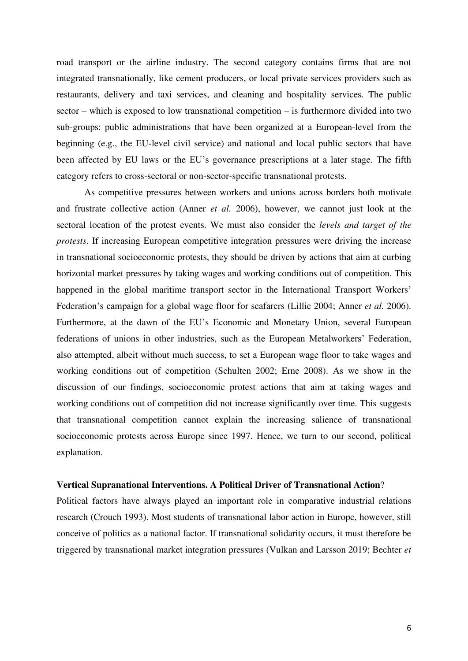road transport or the airline industry. The second category contains firms that are not integrated transnationally, like cement producers, or local private services providers such as restaurants, delivery and taxi services, and cleaning and hospitality services. The public sector – which is exposed to low transnational competition – is furthermore divided into two sub-groups: public administrations that have been organized at a European-level from the beginning (e.g., the EU-level civil service) and national and local public sectors that have been affected by EU laws or the EU's governance prescriptions at a later stage. The fifth category refers to cross-sectoral or non-sector-specific transnational protests.

As competitive pressures between workers and unions across borders both motivate and frustrate collective action (Anner *et al.* 2006), however, we cannot just look at the sectoral location of the protest events. We must also consider the *levels and target of the protests*. If increasing European competitive integration pressures were driving the increase in transnational socioeconomic protests, they should be driven by actions that aim at curbing horizontal market pressures by taking wages and working conditions out of competition. This happened in the global maritime transport sector in the International Transport Workers' Federation's campaign for a global wage floor for seafarers (Lillie 2004; Anner *et al.* 2006). Furthermore, at the dawn of the EU's Economic and Monetary Union, several European federations of unions in other industries, such as the European Metalworkers' Federation, also attempted, albeit without much success, to set a European wage floor to take wages and working conditions out of competition (Schulten 2002; Erne 2008). As we show in the discussion of our findings, socioeconomic protest actions that aim at taking wages and working conditions out of competition did not increase significantly over time. This suggests that transnational competition cannot explain the increasing salience of transnational socioeconomic protests across Europe since 1997. Hence, we turn to our second, political explanation.

#### **Vertical Supranational Interventions. A Political Driver of Transnational Action**?

Political factors have always played an important role in comparative industrial relations research (Crouch 1993). Most students of transnational labor action in Europe, however, still conceive of politics as a national factor. If transnational solidarity occurs, it must therefore be triggered by transnational market integration pressures (Vulkan and Larsson 2019; Bechter *et*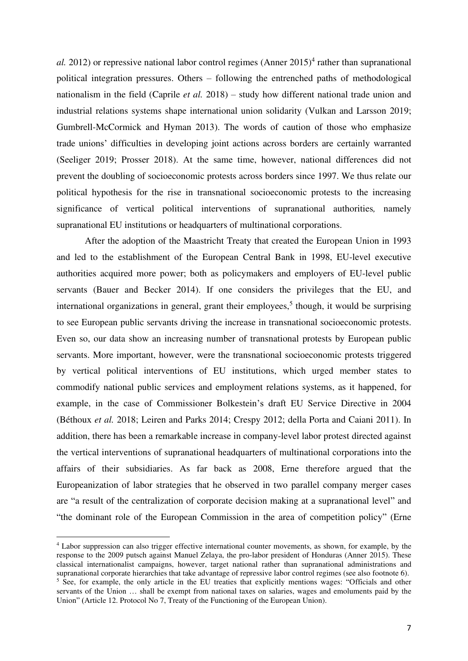$al.$  2012) or repressive national labor control regimes  $(Anner 2015)^4$  rather than supranational political integration pressures. Others – following the entrenched paths of methodological nationalism in the field (Caprile *et al.* 2018) – study how different national trade union and industrial relations systems shape international union solidarity (Vulkan and Larsson 2019; Gumbrell-McCormick and Hyman 2013). The words of caution of those who emphasize trade unions' difficulties in developing joint actions across borders are certainly warranted (Seeliger 2019; Prosser 2018). At the same time, however, national differences did not prevent the doubling of socioeconomic protests across borders since 1997. We thus relate our political hypothesis for the rise in transnational socioeconomic protests to the increasing significance of vertical political interventions of supranational authorities*,* namely supranational EU institutions or headquarters of multinational corporations.

After the adoption of the Maastricht Treaty that created the European Union in 1993 and led to the establishment of the European Central Bank in 1998, EU-level executive authorities acquired more power; both as policymakers and employers of EU-level public servants (Bauer and Becker 2014). If one considers the privileges that the EU, and international organizations in general, grant their employees,<sup>5</sup> though, it would be surprising to see European public servants driving the increase in transnational socioeconomic protests. Even so, our data show an increasing number of transnational protests by European public servants. More important, however, were the transnational socioeconomic protests triggered by vertical political interventions of EU institutions, which urged member states to commodify national public services and employment relations systems, as it happened, for example, in the case of Commissioner Bolkestein's draft EU Service Directive in 2004 (Béthoux *et al.* 2018; Leiren and Parks 2014; Crespy 2012; della Porta and Caiani 2011). In addition, there has been a remarkable increase in company-level labor protest directed against the vertical interventions of supranational headquarters of multinational corporations into the affairs of their subsidiaries. As far back as 2008, Erne therefore argued that the Europeanization of labor strategies that he observed in two parallel company merger cases are "a result of the centralization of corporate decision making at a supranational level" and "the dominant role of the European Commission in the area of competition policy" (Erne

<sup>4</sup> Labor suppression can also trigger effective international counter movements, as shown, for example, by the response to the 2009 putsch against Manuel Zelaya, the pro-labor president of Honduras (Anner 2015). These classical internationalist campaigns, however, target national rather than supranational administrations and supranational corporate hierarchies that take advantage of repressive labor control regimes (see also footnote 6). <sup>5</sup> See, for example, the only article in the EU treaties that explicitly mentions wages: "Officials and other servants of the Union … shall be exempt from national taxes on salaries, wages and emoluments paid by the Union" (Article 12. Protocol No 7, Treaty of the Functioning of the European Union).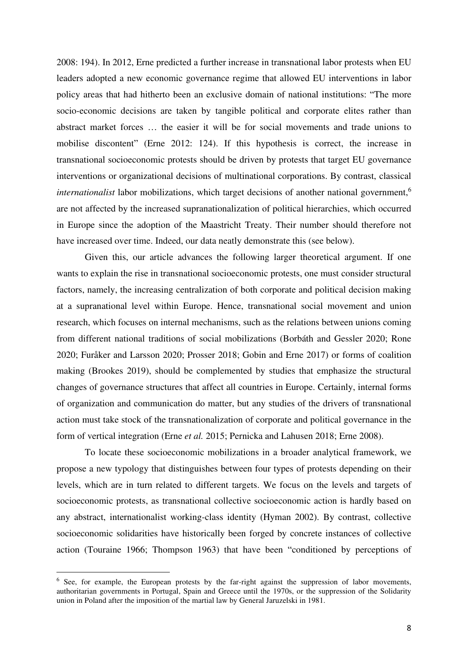2008: 194). In 2012, Erne predicted a further increase in transnational labor protests when EU leaders adopted a new economic governance regime that allowed EU interventions in labor policy areas that had hitherto been an exclusive domain of national institutions: "The more socio-economic decisions are taken by tangible political and corporate elites rather than abstract market forces … the easier it will be for social movements and trade unions to mobilise discontent" (Erne 2012: 124). If this hypothesis is correct, the increase in transnational socioeconomic protests should be driven by protests that target EU governance interventions or organizational decisions of multinational corporations. By contrast, classical *internationalist* labor mobilizations, which target decisions of another national government,<sup>6</sup> are not affected by the increased supranationalization of political hierarchies, which occurred in Europe since the adoption of the Maastricht Treaty. Their number should therefore not have increased over time. Indeed, our data neatly demonstrate this (see below).

Given this, our article advances the following larger theoretical argument. If one wants to explain the rise in transnational socioeconomic protests, one must consider structural factors, namely, the increasing centralization of both corporate and political decision making at a supranational level within Europe. Hence, transnational social movement and union research, which focuses on internal mechanisms, such as the relations between unions coming from different national traditions of social mobilizations (Borbáth and Gessler 2020; Rone 2020; Furåker and Larsson 2020; Prosser 2018; Gobin and Erne 2017) or forms of coalition making (Brookes 2019), should be complemented by studies that emphasize the structural changes of governance structures that affect all countries in Europe. Certainly, internal forms of organization and communication do matter, but any studies of the drivers of transnational action must take stock of the transnationalization of corporate and political governance in the form of vertical integration (Erne *et al.* 2015; Pernicka and Lahusen 2018; Erne 2008).

To locate these socioeconomic mobilizations in a broader analytical framework, we propose a new typology that distinguishes between four types of protests depending on their levels, which are in turn related to different targets. We focus on the levels and targets of socioeconomic protests, as transnational collective socioeconomic action is hardly based on any abstract, internationalist working-class identity (Hyman 2002). By contrast, collective socioeconomic solidarities have historically been forged by concrete instances of collective action (Touraine 1966; Thompson 1963) that have been "conditioned by perceptions of

<sup>&</sup>lt;sup>6</sup> See, for example, the European protests by the far-right against the suppression of labor movements, authoritarian governments in Portugal, Spain and Greece until the 1970s, or the suppression of the Solidarity union in Poland after the imposition of the martial law by General Jaruzelski in 1981.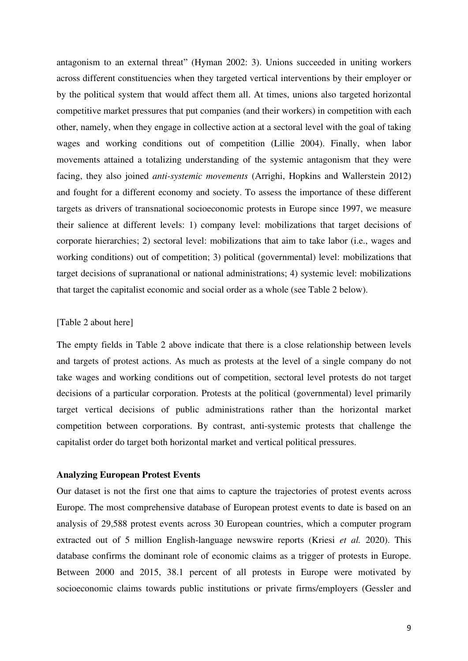antagonism to an external threat" (Hyman 2002: 3). Unions succeeded in uniting workers across different constituencies when they targeted vertical interventions by their employer or by the political system that would affect them all. At times, unions also targeted horizontal competitive market pressures that put companies (and their workers) in competition with each other, namely, when they engage in collective action at a sectoral level with the goal of taking wages and working conditions out of competition (Lillie 2004). Finally, when labor movements attained a totalizing understanding of the systemic antagonism that they were facing, they also joined *anti-systemic movements* (Arrighi, Hopkins and Wallerstein 2012) and fought for a different economy and society. To assess the importance of these different targets as drivers of transnational socioeconomic protests in Europe since 1997, we measure their salience at different levels: 1) company level: mobilizations that target decisions of corporate hierarchies; 2) sectoral level: mobilizations that aim to take labor (i.e., wages and working conditions) out of competition; 3) political (governmental) level: mobilizations that target decisions of supranational or national administrations; 4) systemic level: mobilizations that target the capitalist economic and social order as a whole (see Table 2 below).

## [Table 2 about here]

The empty fields in Table 2 above indicate that there is a close relationship between levels and targets of protest actions. As much as protests at the level of a single company do not take wages and working conditions out of competition, sectoral level protests do not target decisions of a particular corporation. Protests at the political (governmental) level primarily target vertical decisions of public administrations rather than the horizontal market competition between corporations. By contrast, anti-systemic protests that challenge the capitalist order do target both horizontal market and vertical political pressures.

#### **Analyzing European Protest Events**

Our dataset is not the first one that aims to capture the trajectories of protest events across Europe. The most comprehensive database of European protest events to date is based on an analysis of 29,588 protest events across 30 European countries, which a computer program extracted out of 5 million English-language newswire reports (Kriesi *et al.* 2020). This database confirms the dominant role of economic claims as a trigger of protests in Europe. Between 2000 and 2015, 38.1 percent of all protests in Europe were motivated by socioeconomic claims towards public institutions or private firms/employers (Gessler and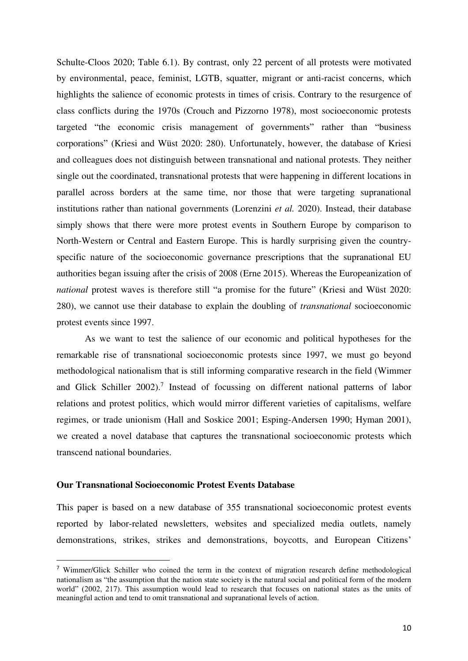Schulte-Cloos 2020; Table 6.1). By contrast, only 22 percent of all protests were motivated by environmental, peace, feminist, LGTB, squatter, migrant or anti-racist concerns, which highlights the salience of economic protests in times of crisis. Contrary to the resurgence of class conflicts during the 1970s (Crouch and Pizzorno 1978), most socioeconomic protests targeted "the economic crisis management of governments" rather than "business corporations" (Kriesi and Wüst 2020: 280). Unfortunately, however, the database of Kriesi and colleagues does not distinguish between transnational and national protests. They neither single out the coordinated, transnational protests that were happening in different locations in parallel across borders at the same time, nor those that were targeting supranational institutions rather than national governments (Lorenzini *et al.* 2020). Instead, their database simply shows that there were more protest events in Southern Europe by comparison to North-Western or Central and Eastern Europe. This is hardly surprising given the countryspecific nature of the socioeconomic governance prescriptions that the supranational EU authorities began issuing after the crisis of 2008 (Erne 2015). Whereas the Europeanization of *national* protest waves is therefore still "a promise for the future" (Kriesi and Wüst 2020: 280), we cannot use their database to explain the doubling of *transnational* socioeconomic protest events since 1997.

As we want to test the salience of our economic and political hypotheses for the remarkable rise of transnational socioeconomic protests since 1997, we must go beyond methodological nationalism that is still informing comparative research in the field (Wimmer and Glick Schiller 2002).<sup>7</sup> Instead of focussing on different national patterns of labor relations and protest politics, which would mirror different varieties of capitalisms, welfare regimes, or trade unionism (Hall and Soskice 2001; Esping-Andersen 1990; Hyman 2001), we created a novel database that captures the transnational socioeconomic protests which transcend national boundaries.

#### **Our Transnational Socioeconomic Protest Events Database**

This paper is based on a new database of 355 transnational socioeconomic protest events reported by labor-related newsletters, websites and specialized media outlets, namely demonstrations, strikes, strikes and demonstrations, boycotts, and European Citizens'

<sup>&</sup>lt;sup>7</sup> Wimmer/Glick Schiller who coined the term in the context of migration research define methodological nationalism as "the assumption that the nation state society is the natural social and political form of the modern world" (2002, 217). This assumption would lead to research that focuses on national states as the units of meaningful action and tend to omit transnational and supranational levels of action.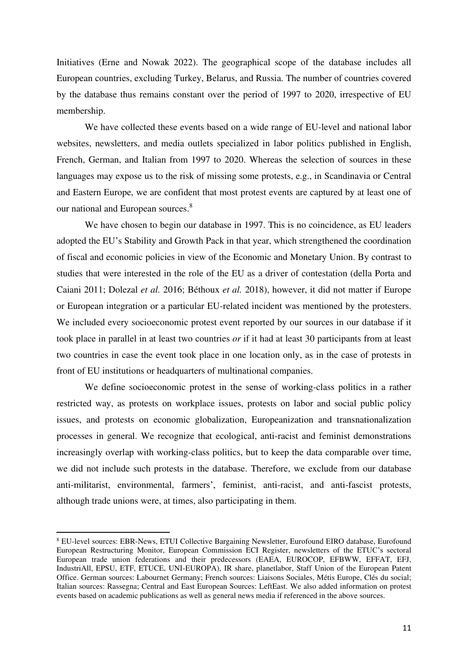Initiatives (Erne and Nowak 2022). The geographical scope of the database includes all European countries, excluding Turkey, Belarus, and Russia. The number of countries covered by the database thus remains constant over the period of 1997 to 2020, irrespective of EU membership.

We have collected these events based on a wide range of EU-level and national labor websites, newsletters, and media outlets specialized in labor politics published in English, French, German, and Italian from 1997 to 2020. Whereas the selection of sources in these languages may expose us to the risk of missing some protests, e.g., in Scandinavia or Central and Eastern Europe, we are confident that most protest events are captured by at least one of our national and European sources.<sup>8</sup>

We have chosen to begin our database in 1997. This is no coincidence, as EU leaders adopted the EU's Stability and Growth Pack in that year, which strengthened the coordination of fiscal and economic policies in view of the Economic and Monetary Union. By contrast to studies that were interested in the role of the EU as a driver of contestation (della Porta and Caiani 2011; Dolezal *et al.* 2016; Béthoux *et al.* 2018), however, it did not matter if Europe or European integration or a particular EU-related incident was mentioned by the protesters. We included every socioeconomic protest event reported by our sources in our database if it took place in parallel in at least two countries *or* if it had at least 30 participants from at least two countries in case the event took place in one location only, as in the case of protests in front of EU institutions or headquarters of multinational companies.

We define socioeconomic protest in the sense of working-class politics in a rather restricted way, as protests on workplace issues, protests on labor and social public policy issues, and protests on economic globalization, Europeanization and transnationalization processes in general. We recognize that ecological, anti-racist and feminist demonstrations increasingly overlap with working-class politics, but to keep the data comparable over time, we did not include such protests in the database. Therefore, we exclude from our database anti-militarist, environmental, farmers', feminist, anti-racist, and anti-fascist protests, although trade unions were, at times, also participating in them.

<sup>8</sup> EU-level sources: EBR-News, ETUI Collective Bargaining Newsletter, Eurofound EIRO database, Eurofound European Restructuring Monitor, European Commission ECI Register, newsletters of the ETUC's sectoral European trade union federations and their predecessors (EAEA, EUROCOP, EFBWW, EFFAT, EFJ, IndustriAll, EPSU, ETF, ETUCE, UNI-EUROPA), IR share, planetlabor, Staff Union of the European Patent Office. German sources: Labournet Germany; French sources: Liaisons Sociales, Métis Europe, Clés du social; Italian sources: Rassegna; Central and East European Sources: LeftEast. We also added information on protest events based on academic publications as well as general news media if referenced in the above sources.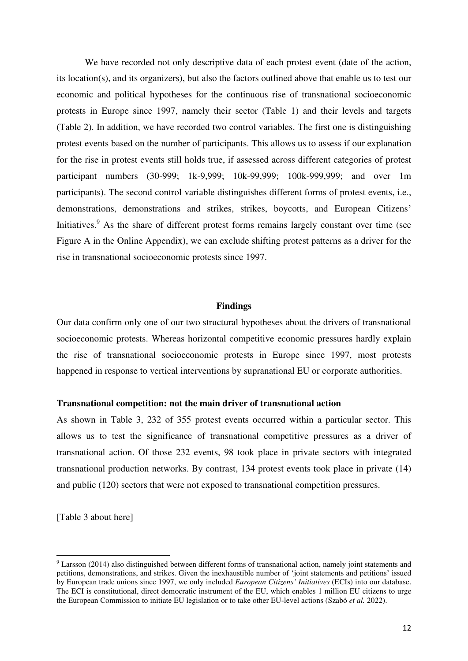We have recorded not only descriptive data of each protest event (date of the action, its location(s), and its organizers), but also the factors outlined above that enable us to test our economic and political hypotheses for the continuous rise of transnational socioeconomic protests in Europe since 1997, namely their sector (Table 1) and their levels and targets (Table 2). In addition, we have recorded two control variables. The first one is distinguishing protest events based on the number of participants. This allows us to assess if our explanation for the rise in protest events still holds true, if assessed across different categories of protest participant numbers (30-999; 1k-9,999; 10k-99,999; 100k-999,999; and over 1m participants). The second control variable distinguishes different forms of protest events, i.e., demonstrations, demonstrations and strikes, strikes, boycotts, and European Citizens' Initiatives.<sup>9</sup> As the share of different protest forms remains largely constant over time (see Figure A in the Online Appendix), we can exclude shifting protest patterns as a driver for the rise in transnational socioeconomic protests since 1997.

#### **Findings**

Our data confirm only one of our two structural hypotheses about the drivers of transnational socioeconomic protests. Whereas horizontal competitive economic pressures hardly explain the rise of transnational socioeconomic protests in Europe since 1997, most protests happened in response to vertical interventions by supranational EU or corporate authorities.

#### **Transnational competition: not the main driver of transnational action**

As shown in Table 3, 232 of 355 protest events occurred within a particular sector. This allows us to test the significance of transnational competitive pressures as a driver of transnational action. Of those 232 events, 98 took place in private sectors with integrated transnational production networks. By contrast, 134 protest events took place in private (14) and public (120) sectors that were not exposed to transnational competition pressures.

[Table 3 about here]

<sup>&</sup>lt;sup>9</sup> Larsson (2014) also distinguished between different forms of transnational action, namely joint statements and petitions, demonstrations, and strikes. Given the inexhaustible number of 'joint statements and petitions' issued by European trade unions since 1997, we only included *European Citizens' Initiatives* (ECIs) into our database. The ECI is constitutional, direct democratic instrument of the EU, which enables 1 million EU citizens to urge the European Commission to initiate EU legislation or to take other EU-level actions (Szabó *et al.* 2022).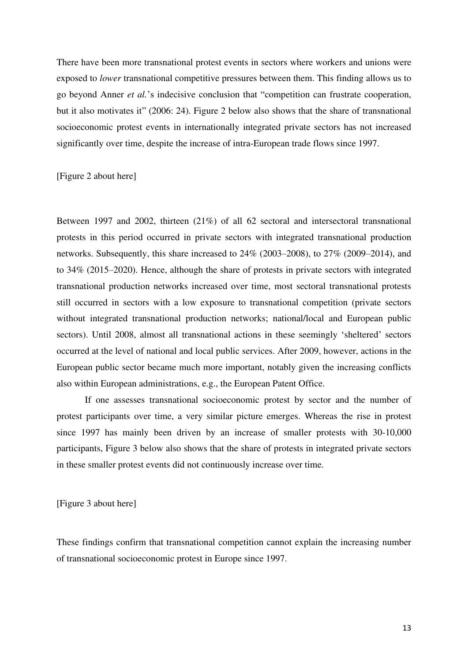There have been more transnational protest events in sectors where workers and unions were exposed to *lower* transnational competitive pressures between them. This finding allows us to go beyond Anner *et al.*'s indecisive conclusion that "competition can frustrate cooperation, but it also motivates it" (2006: 24). Figure 2 below also shows that the share of transnational socioeconomic protest events in internationally integrated private sectors has not increased significantly over time, despite the increase of intra-European trade flows since 1997.

[Figure 2 about here]

Between 1997 and 2002, thirteen (21%) of all 62 sectoral and intersectoral transnational protests in this period occurred in private sectors with integrated transnational production networks. Subsequently, this share increased to 24% (2003–2008), to 27% (2009–2014), and to 34% (2015–2020). Hence, although the share of protests in private sectors with integrated transnational production networks increased over time, most sectoral transnational protests still occurred in sectors with a low exposure to transnational competition (private sectors without integrated transnational production networks; national/local and European public sectors). Until 2008, almost all transnational actions in these seemingly 'sheltered' sectors occurred at the level of national and local public services. After 2009, however, actions in the European public sector became much more important, notably given the increasing conflicts also within European administrations, e.g., the European Patent Office.

 If one assesses transnational socioeconomic protest by sector and the number of protest participants over time, a very similar picture emerges. Whereas the rise in protest since 1997 has mainly been driven by an increase of smaller protests with 30-10,000 participants, Figure 3 below also shows that the share of protests in integrated private sectors in these smaller protest events did not continuously increase over time.

[Figure 3 about here]

These findings confirm that transnational competition cannot explain the increasing number of transnational socioeconomic protest in Europe since 1997.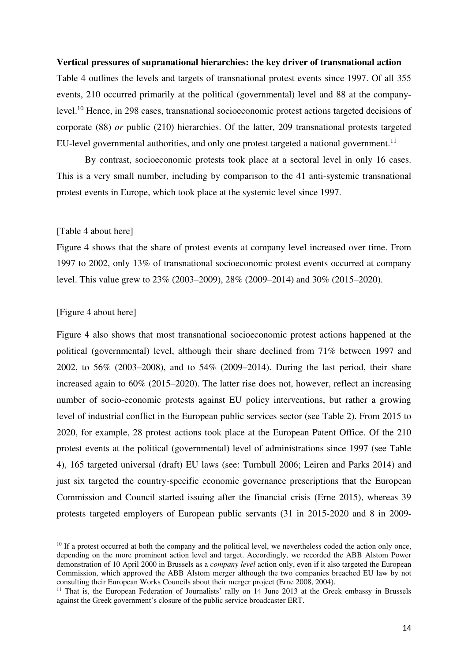#### **Vertical pressures of supranational hierarchies: the key driver of transnational action**

Table 4 outlines the levels and targets of transnational protest events since 1997. Of all 355 events, 210 occurred primarily at the political (governmental) level and 88 at the companylevel.<sup>10</sup> Hence, in 298 cases, transnational socioeconomic protest actions targeted decisions of corporate (88) *or* public (210) hierarchies. Of the latter, 209 transnational protests targeted EU-level governmental authorities, and only one protest targeted a national government.<sup>11</sup>

By contrast, socioeconomic protests took place at a sectoral level in only 16 cases. This is a very small number, including by comparison to the 41 anti-systemic transnational protest events in Europe, which took place at the systemic level since 1997.

#### [Table 4 about here]

Figure 4 shows that the share of protest events at company level increased over time. From 1997 to 2002, only 13% of transnational socioeconomic protest events occurred at company level. This value grew to 23% (2003–2009), 28% (2009–2014) and 30% (2015–2020).

#### [Figure 4 about here]

Figure 4 also shows that most transnational socioeconomic protest actions happened at the political (governmental) level, although their share declined from 71% between 1997 and 2002, to 56% (2003–2008), and to 54% (2009–2014). During the last period, their share increased again to 60% (2015–2020). The latter rise does not, however, reflect an increasing number of socio-economic protests against EU policy interventions, but rather a growing level of industrial conflict in the European public services sector (see Table 2). From 2015 to 2020, for example, 28 protest actions took place at the European Patent Office. Of the 210 protest events at the political (governmental) level of administrations since 1997 (see Table 4), 165 targeted universal (draft) EU laws (see: Turnbull 2006; Leiren and Parks 2014) and just six targeted the country-specific economic governance prescriptions that the European Commission and Council started issuing after the financial crisis (Erne 2015), whereas 39 protests targeted employers of European public servants (31 in 2015-2020 and 8 in 2009-

<sup>&</sup>lt;sup>10</sup> If a protest occurred at both the company and the political level, we nevertheless coded the action only once, depending on the more prominent action level and target. Accordingly, we recorded the ABB Alstom Power demonstration of 10 April 2000 in Brussels as a *company level* action only, even if it also targeted the European Commission, which approved the ABB Alstom merger although the two companies breached EU law by not consulting their European Works Councils about their merger project (Erne 2008, 2004).

<sup>&</sup>lt;sup>11</sup> That is, the European Federation of Journalists' rally on 14 June 2013 at the Greek embassy in Brussels against the Greek government's closure of the public service broadcaster ERT.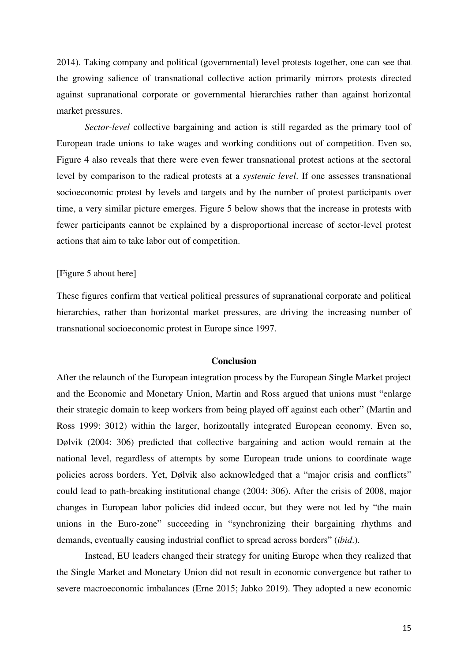2014). Taking company and political (governmental) level protests together, one can see that the growing salience of transnational collective action primarily mirrors protests directed against supranational corporate or governmental hierarchies rather than against horizontal market pressures.

*Sector-level* collective bargaining and action is still regarded as the primary tool of European trade unions to take wages and working conditions out of competition. Even so, Figure 4 also reveals that there were even fewer transnational protest actions at the sectoral level by comparison to the radical protests at a *systemic level*. If one assesses transnational socioeconomic protest by levels and targets and by the number of protest participants over time, a very similar picture emerges. Figure 5 below shows that the increase in protests with fewer participants cannot be explained by a disproportional increase of sector-level protest actions that aim to take labor out of competition.

#### [Figure 5 about here]

These figures confirm that vertical political pressures of supranational corporate and political hierarchies, rather than horizontal market pressures, are driving the increasing number of transnational socioeconomic protest in Europe since 1997.

#### **Conclusion**

After the relaunch of the European integration process by the European Single Market project and the Economic and Monetary Union, Martin and Ross argued that unions must "enlarge their strategic domain to keep workers from being played off against each other" (Martin and Ross 1999: 3012) within the larger, horizontally integrated European economy. Even so, Dølvik (2004: 306) predicted that collective bargaining and action would remain at the national level, regardless of attempts by some European trade unions to coordinate wage policies across borders. Yet, Dølvik also acknowledged that a "major crisis and conflicts" could lead to path-breaking institutional change (2004: 306). After the crisis of 2008, major changes in European labor policies did indeed occur, but they were not led by "the main unions in the Euro-zone" succeeding in "synchronizing their bargaining rhythms and demands, eventually causing industrial conflict to spread across borders" (*ibid*.).

Instead, EU leaders changed their strategy for uniting Europe when they realized that the Single Market and Monetary Union did not result in economic convergence but rather to severe macroeconomic imbalances (Erne 2015; Jabko 2019). They adopted a new economic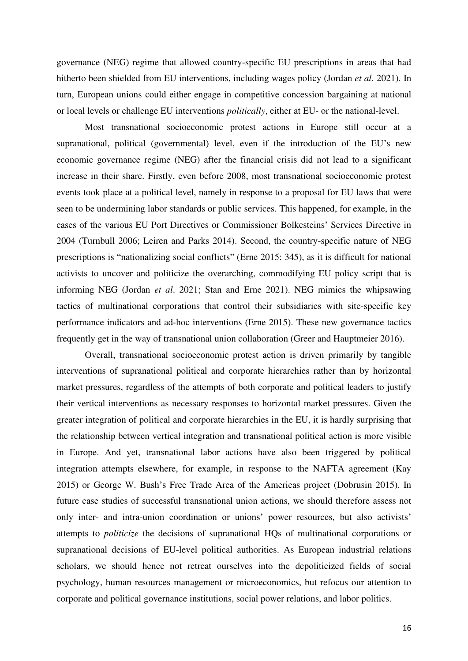governance (NEG) regime that allowed country-specific EU prescriptions in areas that had hitherto been shielded from EU interventions, including wages policy (Jordan *et al.* 2021). In turn, European unions could either engage in competitive concession bargaining at national or local levels or challenge EU interventions *politically*, either at EU- or the national-level.

Most transnational socioeconomic protest actions in Europe still occur at a supranational, political (governmental) level, even if the introduction of the EU's new economic governance regime (NEG) after the financial crisis did not lead to a significant increase in their share. Firstly, even before 2008, most transnational socioeconomic protest events took place at a political level, namely in response to a proposal for EU laws that were seen to be undermining labor standards or public services. This happened, for example, in the cases of the various EU Port Directives or Commissioner Bolkesteins' Services Directive in 2004 (Turnbull 2006; Leiren and Parks 2014). Second, the country-specific nature of NEG prescriptions is "nationalizing social conflicts" (Erne 2015: 345), as it is difficult for national activists to uncover and politicize the overarching, commodifying EU policy script that is informing NEG (Jordan *et al*. 2021; Stan and Erne 2021). NEG mimics the whipsawing tactics of multinational corporations that control their subsidiaries with site-specific key performance indicators and ad-hoc interventions (Erne 2015). These new governance tactics frequently get in the way of transnational union collaboration (Greer and Hauptmeier 2016).

Overall, transnational socioeconomic protest action is driven primarily by tangible interventions of supranational political and corporate hierarchies rather than by horizontal market pressures, regardless of the attempts of both corporate and political leaders to justify their vertical interventions as necessary responses to horizontal market pressures. Given the greater integration of political and corporate hierarchies in the EU, it is hardly surprising that the relationship between vertical integration and transnational political action is more visible in Europe. And yet, transnational labor actions have also been triggered by political integration attempts elsewhere, for example, in response to the NAFTA agreement (Kay 2015) or George W. Bush's Free Trade Area of the Americas project (Dobrusin 2015). In future case studies of successful transnational union actions, we should therefore assess not only inter- and intra-union coordination or unions' power resources, but also activists' attempts to *politicize* the decisions of supranational HQs of multinational corporations or supranational decisions of EU-level political authorities. As European industrial relations scholars, we should hence not retreat ourselves into the depoliticized fields of social psychology, human resources management or microeconomics, but refocus our attention to corporate and political governance institutions, social power relations, and labor politics.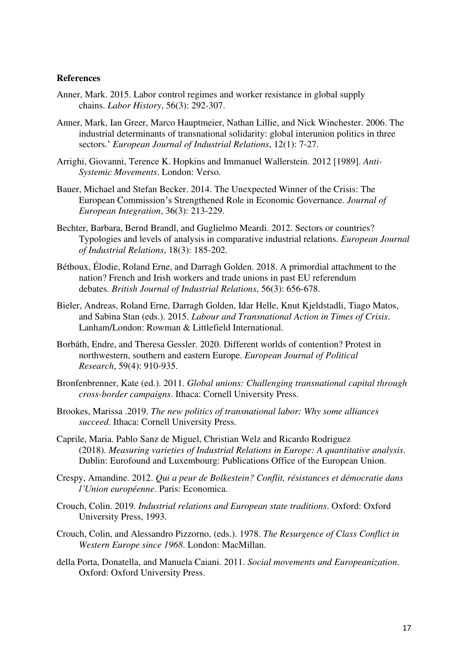#### **References**

- Anner, Mark. 2015. Labor control regimes and worker resistance in global supply chains. *Labor History*, 56(3): 292-307.
- Anner, Mark, Ian Greer, Marco Hauptmeier, Nathan Lillie, and Nick Winchester. 2006. The industrial determinants of transnational solidarity: global interunion politics in three sectors.' *European Journal of Industrial Relations*, 12(1): 7-27.
- Arrighi, Giovanni, Terence K. Hopkins and Immanuel Wallerstein. 2012 [1989]. *Anti-Systemic Movements*. London: Verso.
- Bauer, Michael and Stefan Becker. 2014. The Unexpected Winner of the Crisis: The European Commission's Strengthened Role in Economic Governance. *Journal of European Integration*, 36(3): 213-229.
- Bechter, Barbara, Bernd Brandl, and Guglielmo Meardi. 2012. Sectors or countries? Typologies and levels of analysis in comparative industrial relations. *European Journal of Industrial Relations*, 18(3): 185-202.
- Béthoux, Élodie, Roland Erne, and Darragh Golden. 2018. A primordial attachment to the nation? French and Irish workers and trade unions in past EU referendum debates. *British Journal of Industrial Relations*, 56(3): 656-678.
- Bieler, Andreas, Roland Erne, Darragh Golden, Idar Helle, Knut Kjeldstadli, Tiago Matos, and Sabina Stan (eds.). 2015. *Labour and Transnational Action in Times of Crisis*. Lanham/London: Rowman & Littlefield International.
- Borbáth, Endre, and Theresa Gessler. 2020. Different worlds of contention? Protest in northwestern, southern and eastern Europe. *European Journal of Political Research*, 59(4): 910-935.
- Bronfenbrenner, Kate (ed.). 2011. *Global unions: Challenging transnational capital through cross-border campaigns*. Ithaca: Cornell University Press.
- Brookes, Marissa .2019. *The new politics of transnational labor: Why some alliances succeed*. Ithaca: Cornell University Press.
- Caprile, Maria. Pablo Sanz de Miguel, Christian Welz and Ricardo Rodriguez (2018). *Measuring varieties of Industrial Relations in Europe: A quantitative analysis*. Dublin: Eurofound and Luxembourg: Publications Office of the European Union.
- Crespy, Amandine. 2012. *Qui a peur de Bolkestein? Conflit, résistances et démocratie dans l'Union européenne*. Paris: Economica.
- Crouch, Colin. 2019. *Industrial relations and European state traditions*. Oxford: Oxford University Press, 1993.
- Crouch, Colin, and Alessandro Pizzorno, (eds.). 1978. *The Resurgence of Class Conflict in Western Europe since 1968*. London: MacMillan.
- della Porta, Donatella, and Manuela Caiani. 2011. *Social movements and Europeanization*. Oxford: Oxford University Press.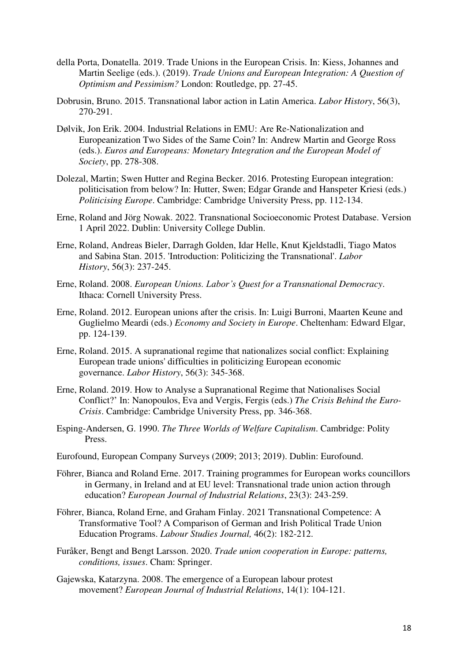- della Porta, Donatella. 2019. Trade Unions in the European Crisis. In: Kiess, Johannes and Martin Seelige (eds.). (2019). *Trade Unions and European Integration: A Question of Optimism and Pessimism?* London: Routledge, pp. 27-45.
- Dobrusin, Bruno. 2015. Transnational labor action in Latin America. *Labor History*, 56(3), 270-291.
- Dølvik, Jon Erik. 2004. Industrial Relations in EMU: Are Re-Nationalization and Europeanization Two Sides of the Same Coin? In: Andrew Martin and George Ross (eds.). *Euros and Europeans: Monetary Integration and the European Model of Society*, pp. 278-308.
- Dolezal, Martin; Swen Hutter and Regina Becker. 2016. Protesting European integration: politicisation from below? In: Hutter, Swen; Edgar Grande and Hanspeter Kriesi (eds.) *Politicising Europe*. Cambridge: Cambridge University Press, pp. 112-134.
- Erne, Roland and Jörg Nowak. 2022. Transnational Socioeconomic Protest Database. Version 1 April 2022. Dublin: University College Dublin.
- Erne, Roland, Andreas Bieler, Darragh Golden, Idar Helle, Knut Kjeldstadli, Tiago Matos and Sabina Stan. 2015. 'Introduction: Politicizing the Transnational'. *Labor History*, 56(3): 237-245.
- Erne, Roland. 2008. *European Unions. Labor's Quest for a Transnational Democracy*. Ithaca: Cornell University Press.
- Erne, Roland. 2012. European unions after the crisis. In: Luigi Burroni, Maarten Keune and Guglielmo Meardi (eds.) *Economy and Society in Europe*. Cheltenham: Edward Elgar, pp. 124-139.
- Erne, Roland. 2015. A supranational regime that nationalizes social conflict: Explaining European trade unions' difficulties in politicizing European economic governance. *Labor History*, 56(3): 345-368.
- Erne, Roland. 2019. How to Analyse a Supranational Regime that Nationalises Social Conflict?' In: Nanopoulos, Eva and Vergis, Fergis (eds.) *The Crisis Behind the Euro-Crisis*. Cambridge: Cambridge University Press, pp. 346-368.
- Esping-Andersen, G. 1990. *The Three Worlds of Welfare Capitalism*. Cambridge: Polity Press.
- Eurofound, European Company Surveys (2009; 2013; 2019). Dublin: Eurofound.
- Föhrer, Bianca and Roland Erne. 2017. Training programmes for European works councillors in Germany, in Ireland and at EU level: Transnational trade union action through education? *European Journal of Industrial Relations*, 23(3): 243-259.
- Föhrer, Bianca, Roland Erne, and Graham Finlay. 2021 Transnational Competence: A Transformative Tool? A Comparison of German and Irish Political Trade Union Education Programs. *Labour Studies Journal,* 46(2): 182-212.
- Furåker, Bengt and Bengt Larsson. 2020. *Trade union cooperation in Europe: patterns, conditions, issues*. Cham: Springer.
- Gajewska, Katarzyna. 2008. The emergence of a European labour protest movement? *European Journal of Industrial Relations*, 14(1): 104-121.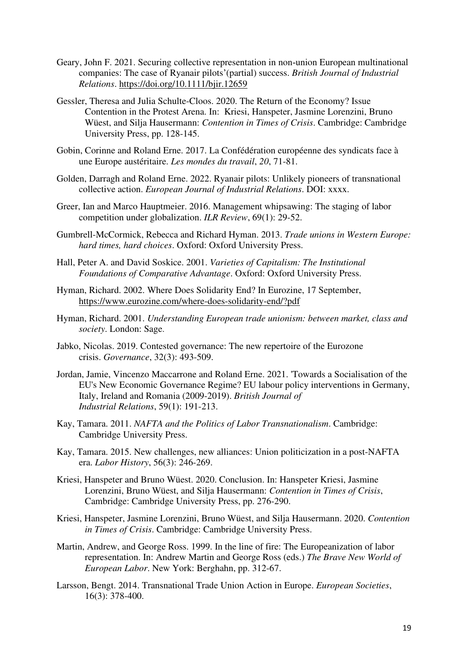- Geary, John F. 2021. Securing collective representation in non‐union European multinational companies: The case of Ryanair pilots'(partial) success. *British Journal of Industrial Relations*.<https://doi.org/10.1111/bjir.12659>
- Gessler, Theresa and Julia Schulte-Cloos. 2020. The Return of the Economy? Issue Contention in the Protest Arena. In: Kriesi, Hanspeter, Jasmine Lorenzini, Bruno Wüest, and Silja Hausermann: *Contention in Times of Crisis*. Cambridge: Cambridge University Press, pp. 128-145.
- Gobin, Corinne and Roland Erne. 2017. La Confédération européenne des syndicats face à une Europe austéritaire. *Les mondes du travail*, *20*, 71-81.
- Golden, Darragh and Roland Erne. 2022. Ryanair pilots: Unlikely pioneers of transnational collective action. *European Journal of Industrial Relations*. DOI: xxxx.
- Greer, Ian and Marco Hauptmeier. 2016. Management whipsawing: The staging of labor competition under globalization. *ILR Review*, 69(1): 29-52.
- Gumbrell-McCormick, Rebecca and Richard Hyman. 2013. *Trade unions in Western Europe: hard times, hard choices*. Oxford: Oxford University Press.
- Hall, Peter A. and David Soskice. 2001. *Varieties of Capitalism: The Institutional Foundations of Comparative Advantage*. Oxford: Oxford University Press.
- Hyman, Richard. 2002. Where Does Solidarity End? In Eurozine, 17 September, <https://www.eurozine.com/where-does-solidarity-end/?pdf>
- Hyman, Richard. 2001. *Understanding European trade unionism: between market, class and society*. London: Sage.
- Jabko, Nicolas. 2019. Contested governance: The new repertoire of the Eurozone crisis. *Governance*, 32(3): 493-509.
- Jordan, Jamie, Vincenzo Maccarrone and Roland Erne. 2021. 'Towards a Socialisation of the EU's New Economic Governance Regime? EU labour policy interventions in Germany, Italy, Ireland and Romania (2009-2019). *British Journal of Industrial Relations*, 59(1): 191-213.
- Kay, Tamara. 2011. *NAFTA and the Politics of Labor Transnationalism*. Cambridge: Cambridge University Press.
- Kay, Tamara. 2015. New challenges, new alliances: Union politicization in a post-NAFTA era. *Labor History*, 56(3): 246-269.
- Kriesi, Hanspeter and Bruno Wüest. 2020. Conclusion. In: Hanspeter Kriesi, Jasmine Lorenzini, Bruno Wüest, and Silja Hausermann: *Contention in Times of Crisis*, Cambridge: Cambridge University Press, pp. 276-290.
- Kriesi, Hanspeter, Jasmine Lorenzini, Bruno Wüest, and Silja Hausermann. 2020. *Contention in Times of Crisis*. Cambridge: Cambridge University Press.
- Martin, Andrew, and George Ross. 1999. In the line of fire: The Europeanization of labor representation. In: Andrew Martin and George Ross (eds.) *The Brave New World of European Labor*. New York: Berghahn, pp. 312-67.
- Larsson, Bengt. 2014. Transnational Trade Union Action in Europe. *European Societies*, 16(3): 378-400.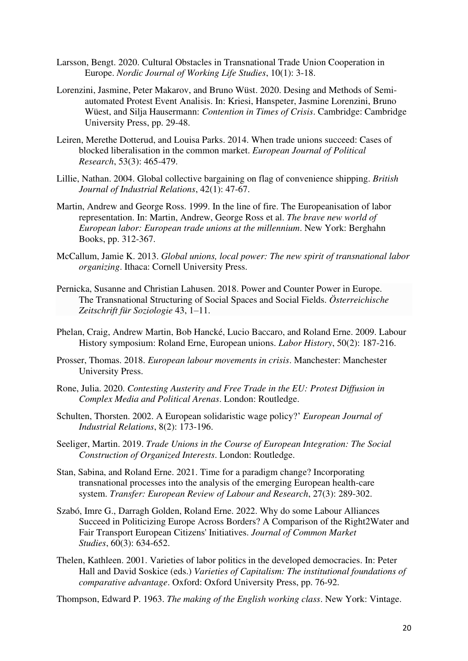- Larsson, Bengt. 2020. Cultural Obstacles in Transnational Trade Union Cooperation in Europe. *Nordic Journal of Working Life Studies*, 10(1): 3-18.
- Lorenzini, Jasmine, Peter Makarov, and Bruno Wüst. 2020. Desing and Methods of Semiautomated Protest Event Analisis. In: Kriesi, Hanspeter, Jasmine Lorenzini, Bruno Wüest, and Silja Hausermann: *Contention in Times of Crisis*. Cambridge: Cambridge University Press, pp. 29-48.
- Leiren, Merethe Dotterud, and Louisa Parks. 2014. When trade unions succeed: Cases of blocked liberalisation in the common market. *European Journal of Political Research*, 53(3): 465-479.
- Lillie, Nathan. 2004. Global collective bargaining on flag of convenience shipping. *British Journal of Industrial Relations*, 42(1): 47-67.
- Martin, Andrew and George Ross. 1999. In the line of fire. The Europeanisation of labor representation. In: Martin, Andrew, George Ross et al. *The brave new world of European labor: European trade unions at the millennium*. New York: Berghahn Books, pp. 312-367.
- McCallum, Jamie K. 2013. *Global unions, local power: The new spirit of transnational labor organizing*. Ithaca: Cornell University Press.
- Pernicka, Susanne and Christian Lahusen. 2018[. Power and Counter Power in Europe.](https://link.springer.com/journal/11614)  [The Transnational Structuring of Social Spaces and Social Fields.](https://link.springer.com/journal/11614) *Österreichische [Zeitschrift für Soziologie](https://link.springer.com/journal/11614)* 43, 1–11.
- Phelan, Craig, Andrew Martin, Bob Hancké, Lucio Baccaro, and Roland Erne. 2009. Labour History symposium: Roland Erne, European unions. *Labor History*, 50(2): 187-216.
- Prosser, Thomas. 2018. *European labour movements in crisis*. Manchester: Manchester University Press.
- Rone, Julia. 2020. *Contesting Austerity and Free Trade in the EU: Protest Diffusion in Complex Media and Political Arenas*. London: Routledge.
- Schulten, Thorsten. 2002. A European solidaristic wage policy?' *European Journal of Industrial Relations*, 8(2): 173-196.
- Seeliger, Martin. 2019. *Trade Unions in the Course of European Integration: The Social Construction of Organized Interests*. London: Routledge.
- Stan, Sabina, and Roland Erne. 2021. Time for a paradigm change? Incorporating transnational processes into the analysis of the emerging European health-care system. *Transfer: European Review of Labour and Research*, 27(3): 289-302.
- Szabó, Imre G., Darragh Golden, Roland Erne. 2022. Why do some Labour Alliances Succeed in Politicizing Europe Across Borders? A Comparison of the Right2Water and Fair Transport European Citizens' Initiatives. *Journal of Common Market Studies*, 60(3): 634-652.
- Thelen, Kathleen. 2001. Varieties of labor politics in the developed democracies. In: Peter Hall and David Soskice (eds.) *Varieties of Capitalism: The institutional foundations of comparative advantage*. Oxford: Oxford University Press, pp. 76-92.

Thompson, Edward P. 1963. *The making of the English working class*. New York: Vintage.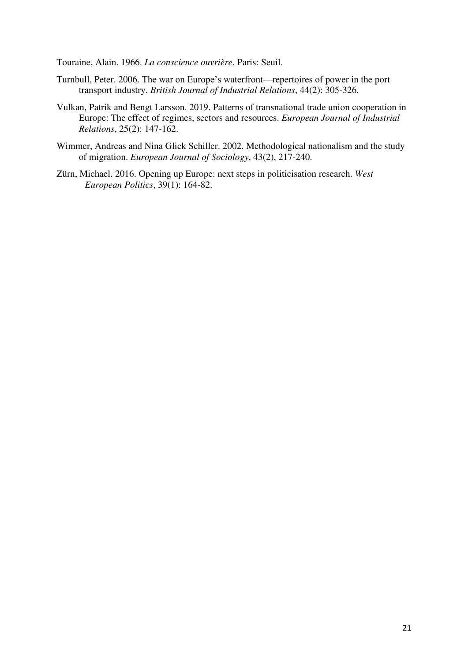Touraine, Alain. 1966. *La conscience ouvrière*. Paris: Seuil.

- Turnbull, Peter. 2006. The war on Europe's waterfront—repertoires of power in the port transport industry. *British Journal of Industrial Relations*, 44(2): 305-326.
- Vulkan, Patrik and Bengt Larsson. 2019. Patterns of transnational trade union cooperation in Europe: The effect of regimes, sectors and resources. *European Journal of Industrial Relations*, 25(2): 147-162.
- Wimmer, Andreas and Nina Glick Schiller. 2002. Methodological nationalism and the study of migration. *European Journal of Sociology*, 43(2), 217-240.
- Zürn, Michael. 2016. Opening up Europe: next steps in politicisation research. *West European Politics*, 39(1): 164-82.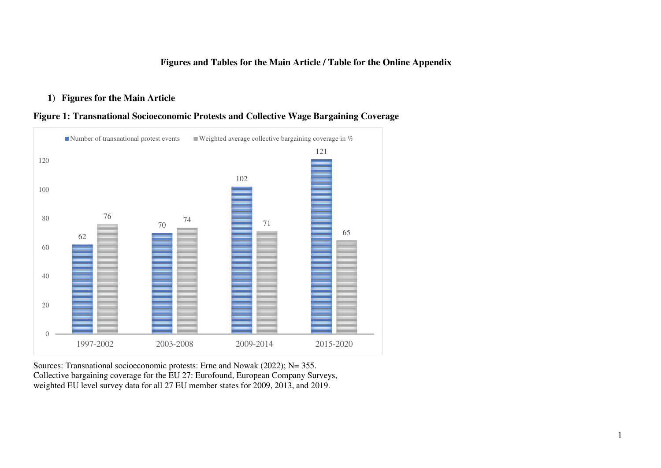### **Figures and Tables for the Main Article / Table for the Online Appendix**

## **1) Figures for the Main Article**





Sources: Transnational socioeconomic protests: Erne and Nowak (2022); N= 355. Collective bargaining coverage for the EU 27: Eurofound, European Company Surveys, weighted EU level survey data for all 27 EU member states for 2009, 2013, and 2019.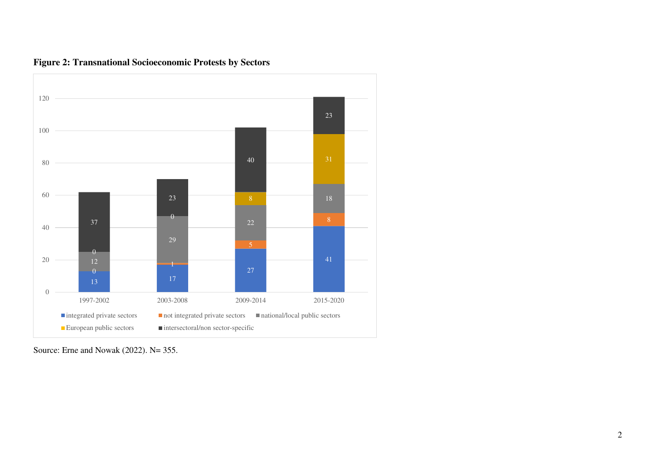

**Figure 2: Transnational Socioeconomic Protests by Sectors** 

Source: Erne and Nowak (2022). N= 355.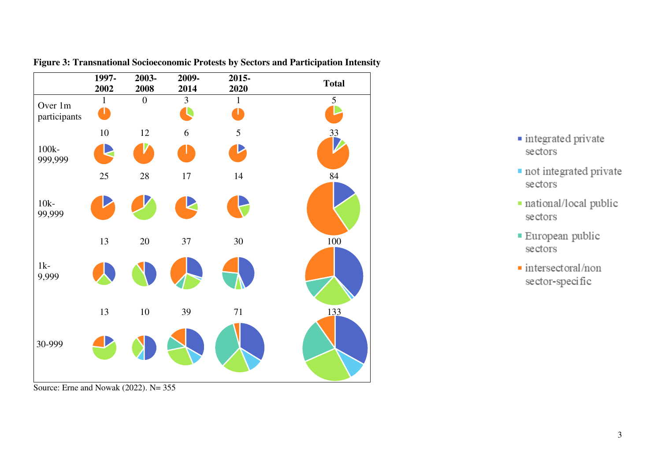

**Figure 3: Transnational Socioeconomic Protests by Sectors and Participation Intensity** 

- · integrated private sectors
- not integrated private sectors
- · national/local public sectors
- European public sectors
- · intersectoral/non sector-specific

Source: Erne and Nowak (2022). N= 355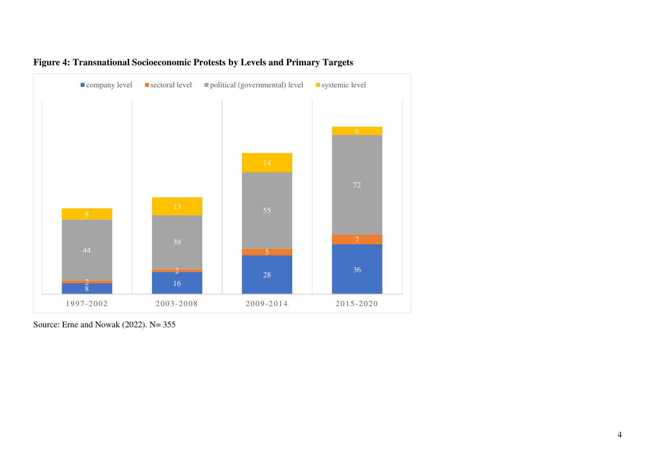

## **Figure 4: Transnational Socioeconomic Protests by Levels and Primary Targets**

Source: Erne and Nowak (2022). N= 355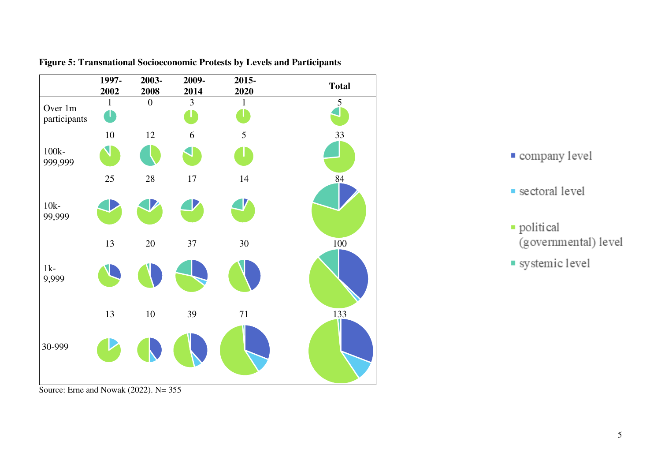

**Figure 5: Transnational Socioeconomic Protests by Levels and Participants** 

Source: Erne and Nowak (2022). N= 355



- · political (governmental) level
- systemic level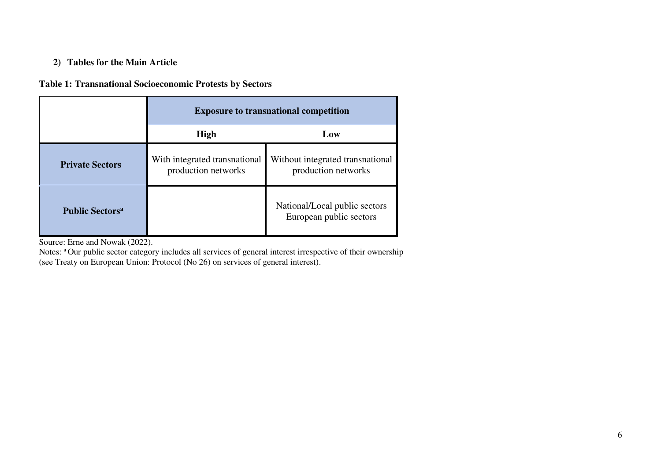## **2) Tables for the Main Article**

## **Table 1: Transnational Socioeconomic Protests by Sectors**

|                                    | <b>Exposure to transnational competition</b>         |                                                          |
|------------------------------------|------------------------------------------------------|----------------------------------------------------------|
|                                    | <b>High</b>                                          | Low                                                      |
| <b>Private Sectors</b>             | With integrated transnational<br>production networks | Without integrated transnational<br>production networks  |
| <b>Public Sectors</b> <sup>a</sup> |                                                      | National/Local public sectors<br>European public sectors |

Source: Erne and Nowak (2022).

Notes: <sup>a</sup>Our public sector category includes all services of general interest irrespective of their ownership (see Treaty on European Union: Protocol (No 26) on services of general interest).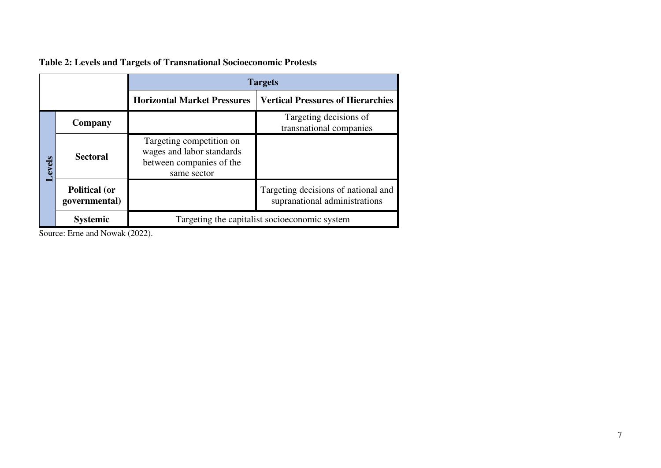|        |                                       | <b>Targets</b>                                                                                   |                                                                      |
|--------|---------------------------------------|--------------------------------------------------------------------------------------------------|----------------------------------------------------------------------|
|        |                                       | <b>Horizontal Market Pressures</b>                                                               | <b>Vertical Pressures of Hierarchies</b>                             |
| Levels | Company                               |                                                                                                  | Targeting decisions of<br>transnational companies                    |
|        | <b>Sectoral</b>                       | Targeting competition on<br>wages and labor standards<br>between companies of the<br>same sector |                                                                      |
|        | <b>Political (or</b><br>governmental) |                                                                                                  | Targeting decisions of national and<br>supranational administrations |
|        | <b>Systemic</b>                       | Targeting the capitalist socioeconomic system                                                    |                                                                      |

**Table 2: Levels and Targets of Transnational Socioeconomic Protests** 

Source: Erne and Nowak (2022).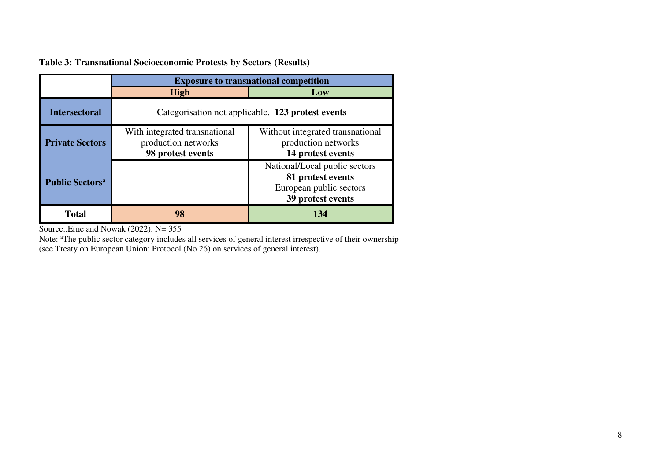|                                   | <b>Exposure to transnational competition</b>                              |                                                                                                    |
|-----------------------------------|---------------------------------------------------------------------------|----------------------------------------------------------------------------------------------------|
|                                   | High                                                                      | Low                                                                                                |
| <b>Intersectoral</b>              | Categorisation not applicable. 123 protest events                         |                                                                                                    |
| <b>Private Sectors</b>            | With integrated transnational<br>production networks<br>98 protest events | Without integrated transnational<br>production networks<br>14 protest events                       |
| <b>Public Sectors<sup>a</sup></b> |                                                                           | National/Local public sectors<br>81 protest events<br>European public sectors<br>39 protest events |
| Total                             | 98                                                                        | 134                                                                                                |

**Table 3: Transnational Socioeconomic Protests by Sectors (Results)** 

Source: Erne and Nowak (2022). N= 355

Note: <sup>a</sup>The public sector category includes all services of general interest irrespective of their ownership (see Treaty on European Union: Protocol (No 26) on services of general interest).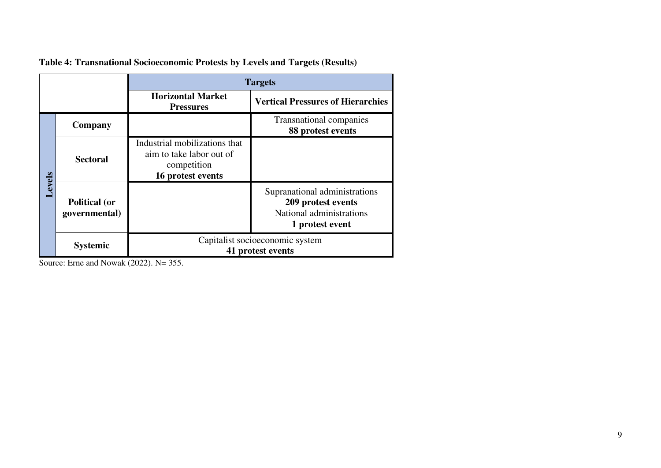|        |                                       | <b>Targets</b>                                                                                |                                                                                                    |
|--------|---------------------------------------|-----------------------------------------------------------------------------------------------|----------------------------------------------------------------------------------------------------|
|        |                                       | <b>Horizontal Market</b><br><b>Pressures</b>                                                  | <b>Vertical Pressures of Hierarchies</b>                                                           |
| Levels | Company                               |                                                                                               | <b>Transnational companies</b><br>88 protest events                                                |
|        | <b>Sectoral</b>                       | Industrial mobilizations that<br>aim to take labor out of<br>competition<br>16 protest events |                                                                                                    |
|        | <b>Political (or</b><br>governmental) |                                                                                               | Supranational administrations<br>209 protest events<br>National administrations<br>1 protest event |
|        | <b>Systemic</b>                       | Capitalist socioeconomic system<br>41 protest events                                          |                                                                                                    |

**Table 4: Transnational Socioeconomic Protests by Levels and Targets (Results)** 

Source: Erne and Nowak (2022). N= 355.